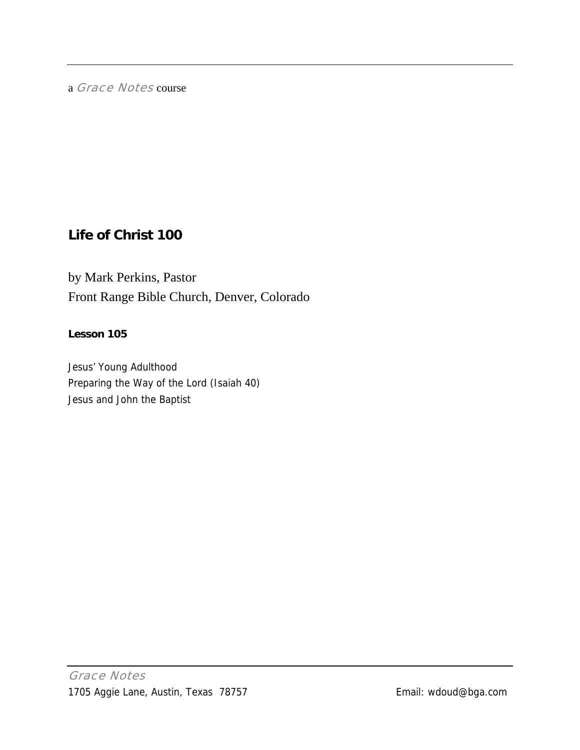a Grace Notes course

## **Life of Christ 100**

by Mark Perkins, Pastor Front Range Bible Church, Denver, Colorado

### **Lesson 105**

Jesus' Young Adulthood Preparing the Way of the Lord (Isaiah 40) Jesus and John the Baptist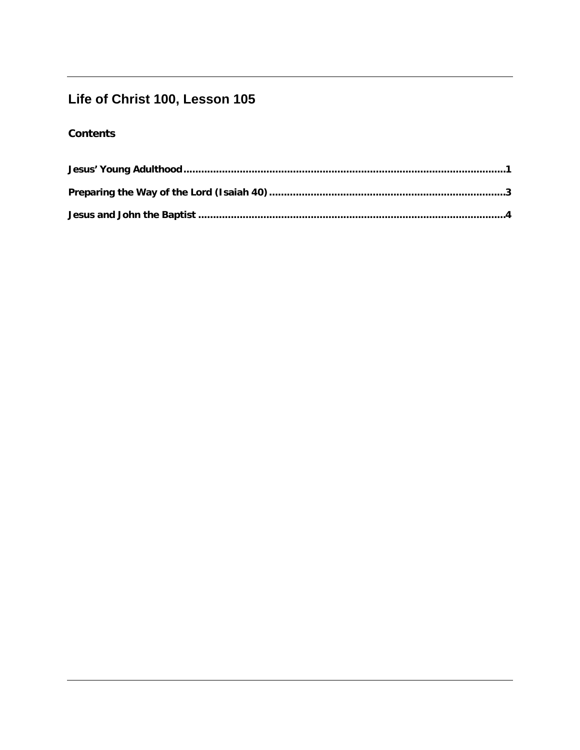# Life of Christ 100, Lesson 105

## **Contents**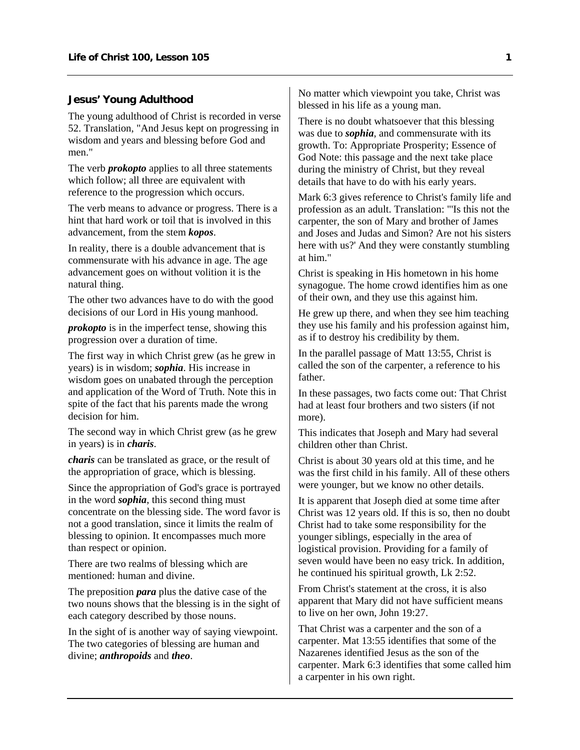#### <span id="page-2-0"></span>**Jesus' Young Adulthood**

The young adulthood of Christ is recorded in verse 52. Translation, "And Jesus kept on progressing in wisdom and years and blessing before God and men."

The verb *prokopto* applies to all three statements which follow; all three are equivalent with reference to the progression which occurs.

The verb means to advance or progress. There is a hint that hard work or toil that is involved in this advancement, from the stem *kopos*.

In reality, there is a double advancement that is commensurate with his advance in age. The age advancement goes on without volition it is the natural thing.

The other two advances have to do with the good decisions of our Lord in His young manhood.

*prokopto* is in the imperfect tense, showing this progression over a duration of time.

The first way in which Christ grew (as he grew in years) is in wisdom; *sophia*. His increase in wisdom goes on unabated through the perception and application of the Word of Truth. Note this in spite of the fact that his parents made the wrong decision for him.

The second way in which Christ grew (as he grew in years) is in *charis*.

*charis* can be translated as grace, or the result of the appropriation of grace, which is blessing.

Since the appropriation of God's grace is portrayed in the word *sophia*, this second thing must concentrate on the blessing side. The word favor is not a good translation, since it limits the realm of blessing to opinion. It encompasses much more than respect or opinion.

There are two realms of blessing which are mentioned: human and divine.

The preposition *para* plus the dative case of the two nouns shows that the blessing is in the sight of each category described by those nouns.

In the sight of is another way of saying viewpoint. The two categories of blessing are human and divine; *anthropoids* and *theo*.

No matter which viewpoint you take, Christ was blessed in his life as a young man.

There is no doubt whatsoever that this blessing was due to *sophia*, and commensurate with its growth. To: Appropriate Prosperity; Essence of God Note: this passage and the next take place during the ministry of Christ, but they reveal details that have to do with his early years.

Mark 6:3 gives reference to Christ's family life and profession as an adult. Translation: "'Is this not the carpenter, the son of Mary and brother of James and Joses and Judas and Simon? Are not his sisters here with us?' And they were constantly stumbling at him."

Christ is speaking in His hometown in his home synagogue. The home crowd identifies him as one of their own, and they use this against him.

He grew up there, and when they see him teaching they use his family and his profession against him, as if to destroy his credibility by them.

In the parallel passage of Matt 13:55, Christ is called the son of the carpenter, a reference to his father.

In these passages, two facts come out: That Christ had at least four brothers and two sisters (if not more).

This indicates that Joseph and Mary had several children other than Christ.

Christ is about 30 years old at this time, and he was the first child in his family. All of these others were younger, but we know no other details.

It is apparent that Joseph died at some time after Christ was 12 years old. If this is so, then no doubt Christ had to take some responsibility for the younger siblings, especially in the area of logistical provision. Providing for a family of seven would have been no easy trick. In addition, he continued his spiritual growth, Lk 2:52.

From Christ's statement at the cross, it is also apparent that Mary did not have sufficient means to live on her own, John 19:27.

That Christ was a carpenter and the son of a carpenter. Mat 13:55 identifies that some of the Nazarenes identified Jesus as the son of the carpenter. Mark 6:3 identifies that some called him a carpenter in his own right.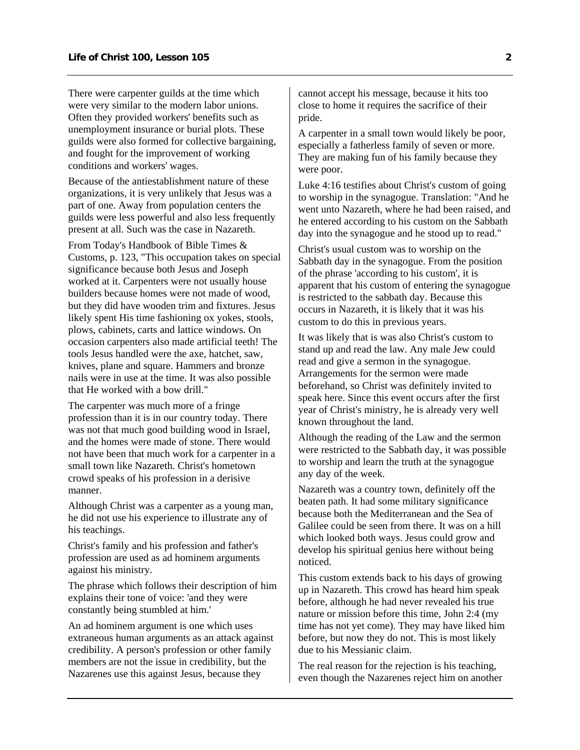There were carpenter guilds at the time which were very similar to the modern labor unions. Often they provided workers' benefits such as unemployment insurance or burial plots. These guilds were also formed for collective bargaining, and fought for the improvement of working conditions and workers' wages.

Because of the antiestablishment nature of these organizations, it is very unlikely that Jesus was a part of one. Away from population centers the guilds were less powerful and also less frequently present at all. Such was the case in Nazareth.

From Today's Handbook of Bible Times & Customs, p. 123, "This occupation takes on special significance because both Jesus and Joseph worked at it. Carpenters were not usually house builders because homes were not made of wood, but they did have wooden trim and fixtures. Jesus likely spent His time fashioning ox yokes, stools, plows, cabinets, carts and lattice windows. On occasion carpenters also made artificial teeth! The tools Jesus handled were the axe, hatchet, saw, knives, plane and square. Hammers and bronze nails were in use at the time. It was also possible that He worked with a bow drill."

The carpenter was much more of a fringe profession than it is in our country today. There was not that much good building wood in Israel. and the homes were made of stone. There would not have been that much work for a carpenter in a small town like Nazareth. Christ's hometown crowd speaks of his profession in a derisive manner.

Although Christ was a carpenter as a young man, he did not use his experience to illustrate any of his teachings.

Christ's family and his profession and father's profession are used as ad hominem arguments against his ministry.

The phrase which follows their description of him explains their tone of voice: 'and they were constantly being stumbled at him.'

An ad hominem argument is one which uses extraneous human arguments as an attack against credibility. A person's profession or other family members are not the issue in credibility, but the Nazarenes use this against Jesus, because they

cannot accept his message, because it hits too close to home it requires the sacrifice of their pride.

A carpenter in a small town would likely be poor, especially a fatherless family of seven or more. They are making fun of his family because they were poor.

Luke 4:16 testifies about Christ's custom of going to worship in the synagogue. Translation: "And he went unto Nazareth, where he had been raised, and he entered according to his custom on the Sabbath day into the synagogue and he stood up to read."

Christ's usual custom was to worship on the Sabbath day in the synagogue. From the position of the phrase 'according to his custom', it is apparent that his custom of entering the synagogue is restricted to the sabbath day. Because this occurs in Nazareth, it is likely that it was his custom to do this in previous years.

It was likely that is was also Christ's custom to stand up and read the law. Any male Jew could read and give a sermon in the synagogue. Arrangements for the sermon were made beforehand, so Christ was definitely invited to speak here. Since this event occurs after the first year of Christ's ministry, he is already very well known throughout the land.

Although the reading of the Law and the sermon were restricted to the Sabbath day, it was possible to worship and learn the truth at the synagogue any day of the week.

Nazareth was a country town, definitely off the beaten path. It had some military significance because both the Mediterranean and the Sea of Galilee could be seen from there. It was on a hill which looked both ways. Jesus could grow and develop his spiritual genius here without being noticed.

This custom extends back to his days of growing up in Nazareth. This crowd has heard him speak before, although he had never revealed his true nature or mission before this time, John 2:4 (my time has not yet come). They may have liked him before, but now they do not. This is most likely due to his Messianic claim.

The real reason for the rejection is his teaching, even though the Nazarenes reject him on another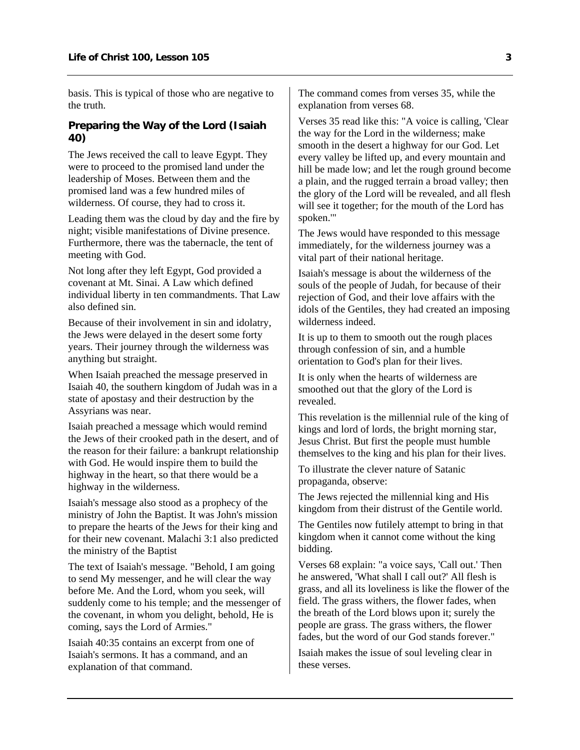<span id="page-4-0"></span>basis. This is typical of those who are negative to the truth.

#### **Preparing the Way of the Lord (Isaiah 40)**

The Jews received the call to leave Egypt. They were to proceed to the promised land under the leadership of Moses. Between them and the promised land was a few hundred miles of wilderness. Of course, they had to cross it.

Leading them was the cloud by day and the fire by night; visible manifestations of Divine presence. Furthermore, there was the tabernacle, the tent of meeting with God.

Not long after they left Egypt, God provided a covenant at Mt. Sinai. A Law which defined individual liberty in ten commandments. That Law also defined sin.

Because of their involvement in sin and idolatry, the Jews were delayed in the desert some forty years. Their journey through the wilderness was anything but straight.

When Isaiah preached the message preserved in Isaiah 40, the southern kingdom of Judah was in a state of apostasy and their destruction by the Assyrians was near.

Isaiah preached a message which would remind the Jews of their crooked path in the desert, and of the reason for their failure: a bankrupt relationship with God. He would inspire them to build the highway in the heart, so that there would be a highway in the wilderness.

Isaiah's message also stood as a prophecy of the ministry of John the Baptist. It was John's mission to prepare the hearts of the Jews for their king and for their new covenant. Malachi 3:1 also predicted the ministry of the Baptist

The text of Isaiah's message. "Behold, I am going to send My messenger, and he will clear the way before Me. And the Lord, whom you seek, will suddenly come to his temple; and the messenger of the covenant, in whom you delight, behold, He is coming, says the Lord of Armies."

Isaiah 40:35 contains an excerpt from one of Isaiah's sermons. It has a command, and an explanation of that command.

The command comes from verses 35, while the explanation from verses 68.

Verses 35 read like this: "A voice is calling, 'Clear the way for the Lord in the wilderness; make smooth in the desert a highway for our God. Let every valley be lifted up, and every mountain and hill be made low; and let the rough ground become a plain, and the rugged terrain a broad valley; then the glory of the Lord will be revealed, and all flesh will see it together; for the mouth of the Lord has spoken.'"

The Jews would have responded to this message immediately, for the wilderness journey was a vital part of their national heritage.

Isaiah's message is about the wilderness of the souls of the people of Judah, for because of their rejection of God, and their love affairs with the idols of the Gentiles, they had created an imposing wilderness indeed.

It is up to them to smooth out the rough places through confession of sin, and a humble orientation to God's plan for their lives.

It is only when the hearts of wilderness are smoothed out that the glory of the Lord is revealed.

This revelation is the millennial rule of the king of kings and lord of lords, the bright morning star, Jesus Christ. But first the people must humble themselves to the king and his plan for their lives.

To illustrate the clever nature of Satanic propaganda, observe:

The Jews rejected the millennial king and His kingdom from their distrust of the Gentile world.

The Gentiles now futilely attempt to bring in that kingdom when it cannot come without the king bidding.

Verses 68 explain: "a voice says, 'Call out.' Then he answered, 'What shall I call out?' All flesh is grass, and all its loveliness is like the flower of the field. The grass withers, the flower fades, when the breath of the Lord blows upon it; surely the people are grass. The grass withers, the flower fades, but the word of our God stands forever."

Isaiah makes the issue of soul leveling clear in these verses.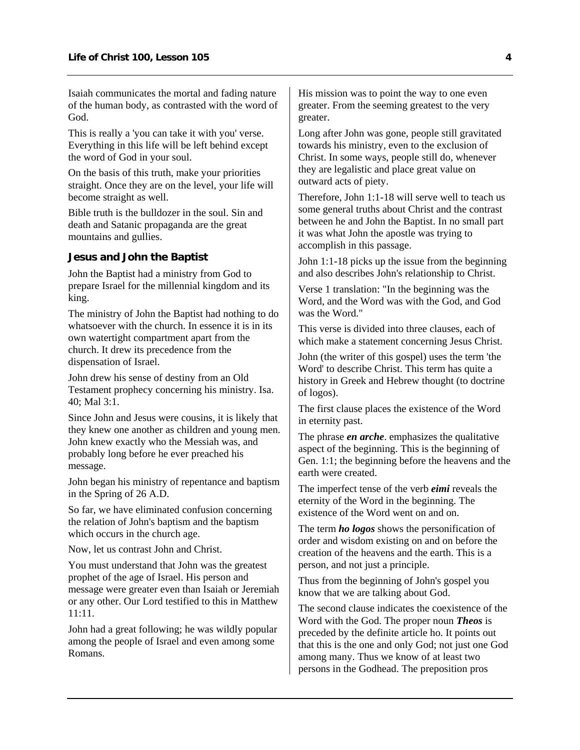<span id="page-5-0"></span>Isaiah communicates the mortal and fading nature of the human body, as contrasted with the word of God.

This is really a 'you can take it with you' verse. Everything in this life will be left behind except the word of God in your soul.

On the basis of this truth, make your priorities straight. Once they are on the level, your life will become straight as well.

Bible truth is the bulldozer in the soul. Sin and death and Satanic propaganda are the great mountains and gullies.

#### **Jesus and John the Baptist**

John the Baptist had a ministry from God to prepare Israel for the millennial kingdom and its king.

The ministry of John the Baptist had nothing to do whatsoever with the church. In essence it is in its own watertight compartment apart from the church. It drew its precedence from the dispensation of Israel.

John drew his sense of destiny from an Old Testament prophecy concerning his ministry. Isa. 40; Mal 3:1.

Since John and Jesus were cousins, it is likely that they knew one another as children and young men. John knew exactly who the Messiah was, and probably long before he ever preached his message.

John began his ministry of repentance and baptism in the Spring of 26 A.D.

So far, we have eliminated confusion concerning the relation of John's baptism and the baptism which occurs in the church age.

Now, let us contrast John and Christ.

You must understand that John was the greatest prophet of the age of Israel. His person and message were greater even than Isaiah or Jeremiah or any other. Our Lord testified to this in Matthew 11:11.

John had a great following; he was wildly popular among the people of Israel and even among some Romans.

His mission was to point the way to one even greater. From the seeming greatest to the very greater.

Long after John was gone, people still gravitated towards his ministry, even to the exclusion of Christ. In some ways, people still do, whenever they are legalistic and place great value on outward acts of piety.

Therefore, John 1:1-18 will serve well to teach us some general truths about Christ and the contrast between he and John the Baptist. In no small part it was what John the apostle was trying to accomplish in this passage.

John 1:1-18 picks up the issue from the beginning and also describes John's relationship to Christ.

Verse 1 translation: "In the beginning was the Word, and the Word was with the God, and God was the Word."

This verse is divided into three clauses, each of which make a statement concerning Jesus Christ.

John (the writer of this gospel) uses the term 'the Word' to describe Christ. This term has quite a history in Greek and Hebrew thought (to doctrine of logos).

The first clause places the existence of the Word in eternity past.

The phrase *en arche*. emphasizes the qualitative aspect of the beginning. This is the beginning of Gen. 1:1; the beginning before the heavens and the earth were created.

The imperfect tense of the verb *eimi* reveals the eternity of the Word in the beginning. The existence of the Word went on and on.

The term *ho logos* shows the personification of order and wisdom existing on and on before the creation of the heavens and the earth. This is a person, and not just a principle.

Thus from the beginning of John's gospel you know that we are talking about God.

The second clause indicates the coexistence of the Word with the God. The proper noun *Theos* is preceded by the definite article ho. It points out that this is the one and only God; not just one God among many. Thus we know of at least two persons in the Godhead. The preposition pros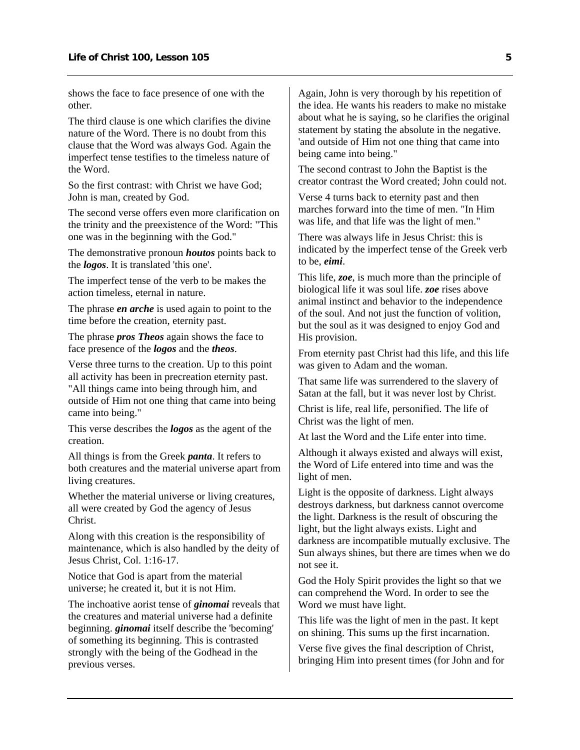shows the face to face presence of one with the other.

The third clause is one which clarifies the divine nature of the Word. There is no doubt from this clause that the Word was always God. Again the imperfect tense testifies to the timeless nature of the Word.

So the first contrast: with Christ we have God; John is man, created by God.

The second verse offers even more clarification on the trinity and the preexistence of the Word: "This one was in the beginning with the God."

The demonstrative pronoun *houtos* points back to the *logos*. It is translated 'this one'.

The imperfect tense of the verb to be makes the action timeless, eternal in nature.

The phrase *en arche* is used again to point to the time before the creation, eternity past.

The phrase *pros Theos* again shows the face to face presence of the *logos* and the *theos*.

Verse three turns to the creation. Up to this point all activity has been in precreation eternity past. "All things came into being through him, and outside of Him not one thing that came into being came into being."

This verse describes the *logos* as the agent of the creation.

All things is from the Greek *panta*. It refers to both creatures and the material universe apart from living creatures.

Whether the material universe or living creatures, all were created by God the agency of Jesus Christ.

Along with this creation is the responsibility of maintenance, which is also handled by the deity of Jesus Christ, Col. 1:16-17.

Notice that God is apart from the material universe; he created it, but it is not Him.

The inchoative aorist tense of *ginomai* reveals that the creatures and material universe had a definite beginning. *ginomai* itself describe the 'becoming' of something its beginning. This is contrasted strongly with the being of the Godhead in the previous verses.

Again, John is very thorough by his repetition of the idea. He wants his readers to make no mistake about what he is saying, so he clarifies the original statement by stating the absolute in the negative. 'and outside of Him not one thing that came into being came into being."

The second contrast to John the Baptist is the creator contrast the Word created; John could not.

Verse 4 turns back to eternity past and then marches forward into the time of men. "In Him was life, and that life was the light of men."

There was always life in Jesus Christ: this is indicated by the imperfect tense of the Greek verb to be, *eimi*.

This life, *zoe*, is much more than the principle of biological life it was soul life. *zoe* rises above animal instinct and behavior to the independence of the soul. And not just the function of volition, but the soul as it was designed to enjoy God and His provision.

From eternity past Christ had this life, and this life was given to Adam and the woman.

That same life was surrendered to the slavery of Satan at the fall, but it was never lost by Christ.

Christ is life, real life, personified. The life of Christ was the light of men.

At last the Word and the Life enter into time.

Although it always existed and always will exist, the Word of Life entered into time and was the light of men.

Light is the opposite of darkness. Light always destroys darkness, but darkness cannot overcome the light. Darkness is the result of obscuring the light, but the light always exists. Light and darkness are incompatible mutually exclusive. The Sun always shines, but there are times when we do not see it.

God the Holy Spirit provides the light so that we can comprehend the Word. In order to see the Word we must have light.

This life was the light of men in the past. It kept on shining. This sums up the first incarnation.

Verse five gives the final description of Christ, bringing Him into present times (for John and for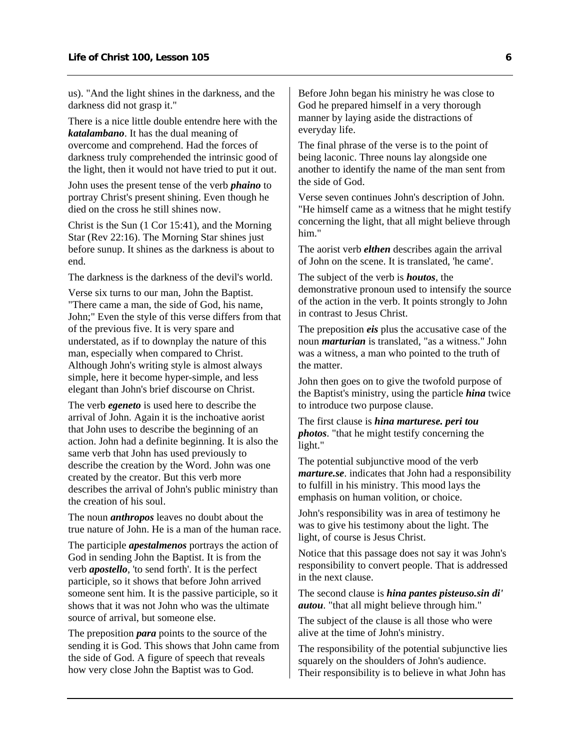us). "And the light shines in the darkness, and the darkness did not grasp it."

There is a nice little double entendre here with the *katalambano*. It has the dual meaning of overcome and comprehend. Had the forces of darkness truly comprehended the intrinsic good of the light, then it would not have tried to put it out.

John uses the present tense of the verb *phaino* to portray Christ's present shining. Even though he died on the cross he still shines now.

Christ is the Sun (1 Cor 15:41), and the Morning Star (Rev 22:16). The Morning Star shines just before sunup. It shines as the darkness is about to end.

The darkness is the darkness of the devil's world.

Verse six turns to our man, John the Baptist. "There came a man, the side of God, his name, John;" Even the style of this verse differs from that of the previous five. It is very spare and understated, as if to downplay the nature of this man, especially when compared to Christ. Although John's writing style is almost always simple, here it become hyper-simple, and less elegant than John's brief discourse on Christ.

The verb *egeneto* is used here to describe the arrival of John. Again it is the inchoative aorist that John uses to describe the beginning of an action. John had a definite beginning. It is also the same verb that John has used previously to describe the creation by the Word. John was one created by the creator. But this verb more describes the arrival of John's public ministry than the creation of his soul.

The noun *anthropos* leaves no doubt about the true nature of John. He is a man of the human race.

The participle *apestalmenos* portrays the action of God in sending John the Baptist. It is from the verb *apostello*, 'to send forth'. It is the perfect participle, so it shows that before John arrived someone sent him. It is the passive participle, so it shows that it was not John who was the ultimate source of arrival, but someone else.

The preposition *para* points to the source of the sending it is God. This shows that John came from the side of God. A figure of speech that reveals how very close John the Baptist was to God.

Before John began his ministry he was close to God he prepared himself in a very thorough manner by laying aside the distractions of everyday life.

The final phrase of the verse is to the point of being laconic. Three nouns lay alongside one another to identify the name of the man sent from the side of God.

Verse seven continues John's description of John. "He himself came as a witness that he might testify concerning the light, that all might believe through him."

The aorist verb *elthen* describes again the arrival of John on the scene. It is translated, 'he came'.

The subject of the verb is *houtos*, the demonstrative pronoun used to intensify the source of the action in the verb. It points strongly to John in contrast to Jesus Christ.

The preposition *eis* plus the accusative case of the noun *marturian* is translated, "as a witness." John was a witness, a man who pointed to the truth of the matter.

John then goes on to give the twofold purpose of the Baptist's ministry, using the particle *hina* twice to introduce two purpose clause.

The first clause is *hina marturese. peri tou photos*. "that he might testify concerning the light."

The potential subjunctive mood of the verb *marture.se*. indicates that John had a responsibility to fulfill in his ministry. This mood lays the emphasis on human volition, or choice.

John's responsibility was in area of testimony he was to give his testimony about the light. The light, of course is Jesus Christ.

Notice that this passage does not say it was John's responsibility to convert people. That is addressed in the next clause.

The second clause is *hina pantes pisteuso.sin di' autou*. "that all might believe through him."

The subject of the clause is all those who were alive at the time of John's ministry.

The responsibility of the potential subjunctive lies squarely on the shoulders of John's audience. Their responsibility is to believe in what John has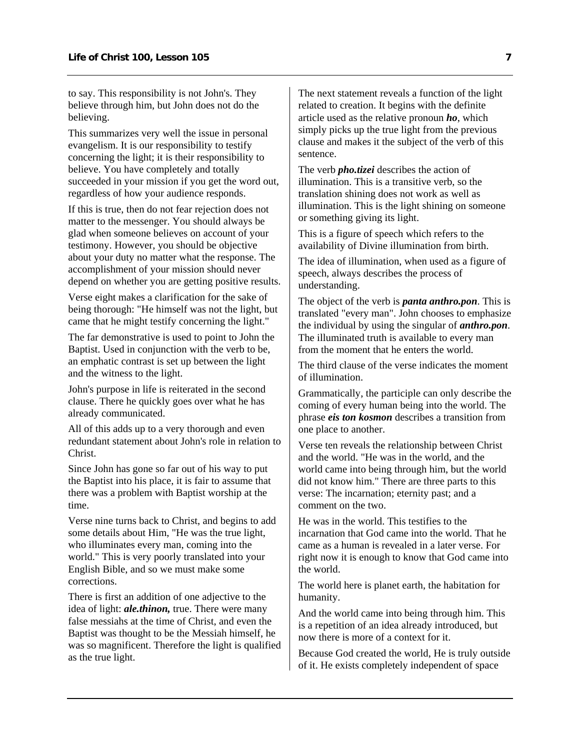to say. This responsibility is not John's. They believe through him, but John does not do the believing.

This summarizes very well the issue in personal evangelism. It is our responsibility to testify concerning the light; it is their responsibility to believe. You have completely and totally succeeded in your mission if you get the word out, regardless of how your audience responds.

If this is true, then do not fear rejection does not matter to the messenger. You should always be glad when someone believes on account of your testimony. However, you should be objective about your duty no matter what the response. The accomplishment of your mission should never depend on whether you are getting positive results.

Verse eight makes a clarification for the sake of being thorough: "He himself was not the light, but came that he might testify concerning the light."

The far demonstrative is used to point to John the Baptist. Used in conjunction with the verb to be, an emphatic contrast is set up between the light and the witness to the light.

John's purpose in life is reiterated in the second clause. There he quickly goes over what he has already communicated.

All of this adds up to a very thorough and even redundant statement about John's role in relation to Christ.

Since John has gone so far out of his way to put the Baptist into his place, it is fair to assume that there was a problem with Baptist worship at the time.

Verse nine turns back to Christ, and begins to add some details about Him, "He was the true light, who illuminates every man, coming into the world." This is very poorly translated into your English Bible, and so we must make some corrections.

There is first an addition of one adjective to the idea of light: *ale.thinon,* true. There were many false messiahs at the time of Christ, and even the Baptist was thought to be the Messiah himself, he was so magnificent. Therefore the light is qualified as the true light.

The next statement reveals a function of the light related to creation. It begins with the definite article used as the relative pronoun *ho*, which simply picks up the true light from the previous clause and makes it the subject of the verb of this sentence.

The verb *pho.tizei* describes the action of illumination. This is a transitive verb, so the translation shining does not work as well as illumination. This is the light shining on someone or something giving its light.

This is a figure of speech which refers to the availability of Divine illumination from birth.

The idea of illumination, when used as a figure of speech, always describes the process of understanding.

The object of the verb is *panta anthro.pon*. This is translated "every man". John chooses to emphasize the individual by using the singular of *anthro.pon*. The illuminated truth is available to every man from the moment that he enters the world.

The third clause of the verse indicates the moment of illumination.

Grammatically, the participle can only describe the coming of every human being into the world. The phrase *eis ton kosmon* describes a transition from one place to another.

Verse ten reveals the relationship between Christ and the world. "He was in the world, and the world came into being through him, but the world did not know him." There are three parts to this verse: The incarnation; eternity past; and a comment on the two.

He was in the world. This testifies to the incarnation that God came into the world. That he came as a human is revealed in a later verse. For right now it is enough to know that God came into the world.

The world here is planet earth, the habitation for humanity.

And the world came into being through him. This is a repetition of an idea already introduced, but now there is more of a context for it.

Because God created the world, He is truly outside of it. He exists completely independent of space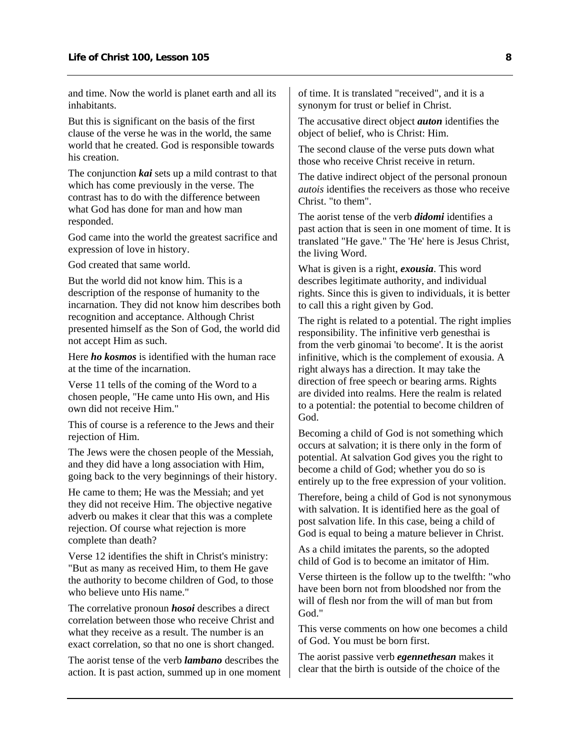and time. Now the world is planet earth and all its inhabitants.

But this is significant on the basis of the first clause of the verse he was in the world, the same world that he created. God is responsible towards his creation.

The conjunction *kai* sets up a mild contrast to that which has come previously in the verse. The contrast has to do with the difference between what God has done for man and how man responded.

God came into the world the greatest sacrifice and expression of love in history.

God created that same world.

But the world did not know him. This is a description of the response of humanity to the incarnation. They did not know him describes both recognition and acceptance. Although Christ presented himself as the Son of God, the world did not accept Him as such.

Here *ho kosmos* is identified with the human race at the time of the incarnation.

Verse 11 tells of the coming of the Word to a chosen people, "He came unto His own, and His own did not receive Him."

This of course is a reference to the Jews and their rejection of Him.

The Jews were the chosen people of the Messiah, and they did have a long association with Him, going back to the very beginnings of their history.

He came to them; He was the Messiah; and yet they did not receive Him. The objective negative adverb ou makes it clear that this was a complete rejection. Of course what rejection is more complete than death?

Verse 12 identifies the shift in Christ's ministry: "But as many as received Him, to them He gave the authority to become children of God, to those who believe unto His name."

The correlative pronoun *hosoi* describes a direct correlation between those who receive Christ and what they receive as a result. The number is an exact correlation, so that no one is short changed.

The aorist tense of the verb *lambano* describes the action. It is past action, summed up in one moment of time. It is translated "received", and it is a synonym for trust or belief in Christ.

The accusative direct object *auton* identifies the object of belief, who is Christ: Him.

The second clause of the verse puts down what those who receive Christ receive in return.

The dative indirect object of the personal pronoun *autois* identifies the receivers as those who receive Christ. "to them".

The aorist tense of the verb *didomi* identifies a past action that is seen in one moment of time. It is translated "He gave." The 'He' here is Jesus Christ, the living Word.

What is given is a right, *exousia*. This word describes legitimate authority, and individual rights. Since this is given to individuals, it is better to call this a right given by God.

The right is related to a potential. The right implies responsibility. The infinitive verb genesthai is from the verb ginomai 'to become'. It is the aorist infinitive, which is the complement of exousia. A right always has a direction. It may take the direction of free speech or bearing arms. Rights are divided into realms. Here the realm is related to a potential: the potential to become children of God.

Becoming a child of God is not something which occurs at salvation; it is there only in the form of potential. At salvation God gives you the right to become a child of God; whether you do so is entirely up to the free expression of your volition.

Therefore, being a child of God is not synonymous with salvation. It is identified here as the goal of post salvation life. In this case, being a child of God is equal to being a mature believer in Christ.

As a child imitates the parents, so the adopted child of God is to become an imitator of Him.

Verse thirteen is the follow up to the twelfth: "who have been born not from bloodshed nor from the will of flesh nor from the will of man but from God."

This verse comments on how one becomes a child of God. You must be born first.

The aorist passive verb *egennethesan* makes it clear that the birth is outside of the choice of the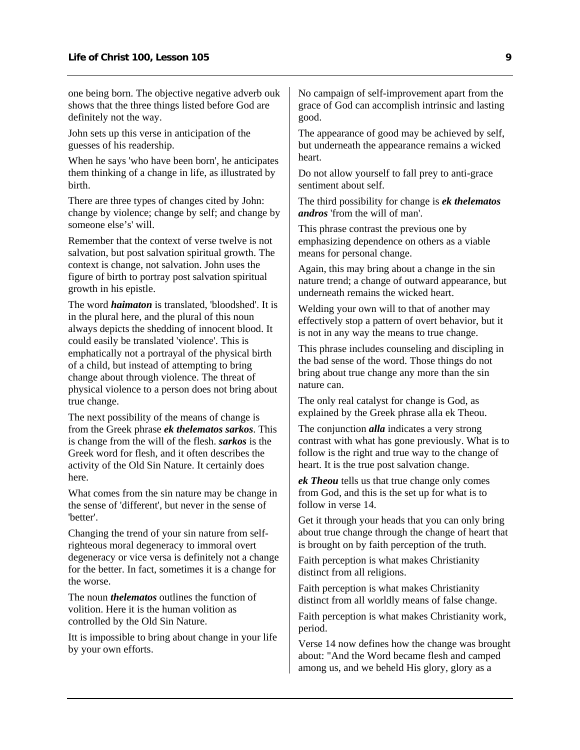one being born. The objective negative adverb ouk shows that the three things listed before God are definitely not the way.

John sets up this verse in anticipation of the guesses of his readership.

When he says 'who have been born', he anticipates them thinking of a change in life, as illustrated by birth.

There are three types of changes cited by John: change by violence; change by self; and change by someone else's' will.

Remember that the context of verse twelve is not salvation, but post salvation spiritual growth. The context is change, not salvation. John uses the figure of birth to portray post salvation spiritual growth in his epistle.

The word *haimaton* is translated, 'bloodshed'. It is in the plural here, and the plural of this noun always depicts the shedding of innocent blood. It could easily be translated 'violence'. This is emphatically not a portrayal of the physical birth of a child, but instead of attempting to bring change about through violence. The threat of physical violence to a person does not bring about true change.

The next possibility of the means of change is from the Greek phrase *ek thelematos sarkos*. This is change from the will of the flesh. *sarkos* is the Greek word for flesh, and it often describes the activity of the Old Sin Nature. It certainly does here.

What comes from the sin nature may be change in the sense of 'different', but never in the sense of 'better'.

Changing the trend of your sin nature from selfrighteous moral degeneracy to immoral overt degeneracy or vice versa is definitely not a change for the better. In fact, sometimes it is a change for the worse.

The noun *thelematos* outlines the function of volition. Here it is the human volition as controlled by the Old Sin Nature.

Itt is impossible to bring about change in your life by your own efforts.

No campaign of self-improvement apart from the grace of God can accomplish intrinsic and lasting good.

The appearance of good may be achieved by self, but underneath the appearance remains a wicked heart.

Do not allow yourself to fall prey to anti-grace sentiment about self.

The third possibility for change is *ek thelematos andros* 'from the will of man'.

This phrase contrast the previous one by emphasizing dependence on others as a viable means for personal change.

Again, this may bring about a change in the sin nature trend; a change of outward appearance, but underneath remains the wicked heart.

Welding your own will to that of another may effectively stop a pattern of overt behavior, but it is not in any way the means to true change.

This phrase includes counseling and discipling in the bad sense of the word. Those things do not bring about true change any more than the sin nature can.

The only real catalyst for change is God, as explained by the Greek phrase alla ek Theou.

The conjunction *alla* indicates a very strong contrast with what has gone previously. What is to follow is the right and true way to the change of heart. It is the true post salvation change.

*ek Theou* tells us that true change only comes from God, and this is the set up for what is to follow in verse 14.

Get it through your heads that you can only bring about true change through the change of heart that is brought on by faith perception of the truth.

Faith perception is what makes Christianity distinct from all religions.

Faith perception is what makes Christianity distinct from all worldly means of false change.

Faith perception is what makes Christianity work, period.

Verse 14 now defines how the change was brought about: "And the Word became flesh and camped among us, and we beheld His glory, glory as a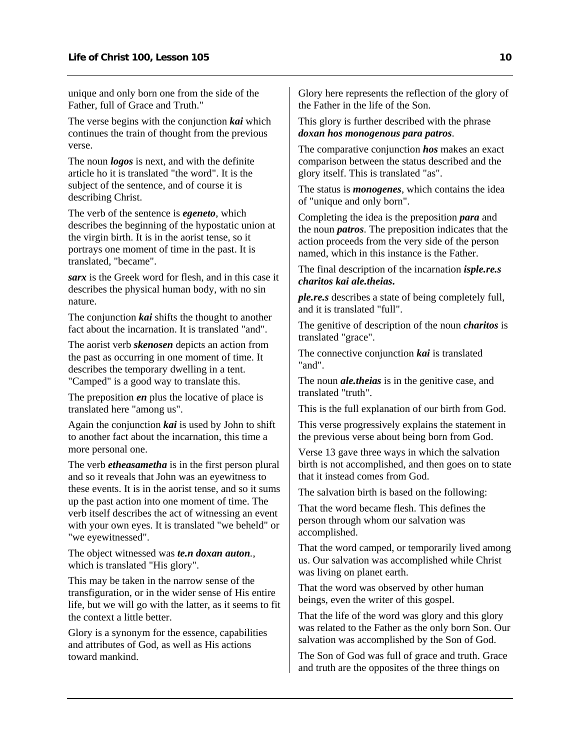unique and only born one from the side of the Father, full of Grace and Truth."

The verse begins with the conjunction *kai* which continues the train of thought from the previous verse.

The noun *logos* is next, and with the definite article ho it is translated "the word". It is the subject of the sentence, and of course it is describing Christ.

The verb of the sentence is *egeneto*, which describes the beginning of the hypostatic union at the virgin birth. It is in the aorist tense, so it portrays one moment of time in the past. It is translated, "became".

*sarx* is the Greek word for flesh, and in this case it describes the physical human body, with no sin nature.

The conjunction *kai* shifts the thought to another fact about the incarnation. It is translated "and".

The aorist verb *skenosen* depicts an action from the past as occurring in one moment of time. It describes the temporary dwelling in a tent. "Camped" is a good way to translate this.

The preposition *en* plus the locative of place is translated here "among us".

Again the conjunction *kai* is used by John to shift to another fact about the incarnation, this time a more personal one.

The verb *etheasametha* is in the first person plural and so it reveals that John was an eyewitness to these events. It is in the aorist tense, and so it sums up the past action into one moment of time. The verb itself describes the act of witnessing an event with your own eyes. It is translated "we beheld" or "we eyewitnessed".

The object witnessed was *te.n doxan auton.*, which is translated "His glory".

This may be taken in the narrow sense of the transfiguration, or in the wider sense of His entire life, but we will go with the latter, as it seems to fit the context a little better.

Glory is a synonym for the essence, capabilities and attributes of God, as well as His actions toward mankind.

Glory here represents the reflection of the glory of the Father in the life of the Son.

#### This glory is further described with the phrase *doxan hos monogenous para patros*.

The comparative conjunction *hos* makes an exact comparison between the status described and the glory itself. This is translated "as".

The status is *monogenes*, which contains the idea of "unique and only born".

Completing the idea is the preposition *para* and the noun *patros*. The preposition indicates that the action proceeds from the very side of the person named, which in this instance is the Father.

The final description of the incarnation *isple.re.s charitos kai ale.theias***.**

*ple.re.s* describes a state of being completely full, and it is translated "full".

The genitive of description of the noun *charitos* is translated "grace".

The connective conjunction *kai* is translated "and".

The noun *ale.theias* is in the genitive case, and translated "truth".

This is the full explanation of our birth from God.

This verse progressively explains the statement in the previous verse about being born from God.

Verse 13 gave three ways in which the salvation birth is not accomplished, and then goes on to state that it instead comes from God.

The salvation birth is based on the following:

That the word became flesh. This defines the person through whom our salvation was accomplished.

That the word camped, or temporarily lived among us. Our salvation was accomplished while Christ was living on planet earth.

That the word was observed by other human beings, even the writer of this gospel.

That the life of the word was glory and this glory was related to the Father as the only born Son. Our salvation was accomplished by the Son of God.

The Son of God was full of grace and truth. Grace and truth are the opposites of the three things on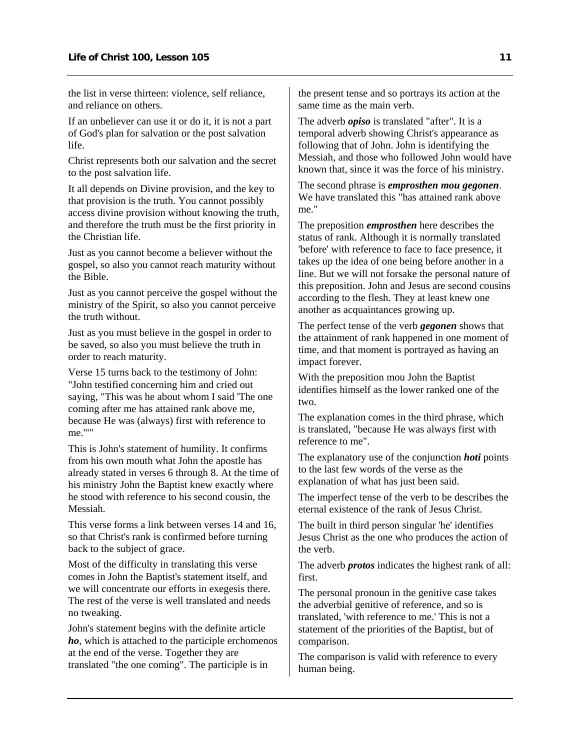the list in verse thirteen: violence, self reliance, and reliance on others.

If an unbeliever can use it or do it, it is not a part of God's plan for salvation or the post salvation life.

Christ represents both our salvation and the secret to the post salvation life.

It all depends on Divine provision, and the key to that provision is the truth. You cannot possibly access divine provision without knowing the truth, and therefore the truth must be the first priority in the Christian life.

Just as you cannot become a believer without the gospel, so also you cannot reach maturity without the Bible.

Just as you cannot perceive the gospel without the ministry of the Spirit, so also you cannot perceive the truth without.

Just as you must believe in the gospel in order to be saved, so also you must believe the truth in order to reach maturity.

Verse 15 turns back to the testimony of John: "John testified concerning him and cried out saying, "This was he about whom I said 'The one coming after me has attained rank above me, because He was (always) first with reference to me.'""

This is John's statement of humility. It confirms from his own mouth what John the apostle has already stated in verses 6 through 8. At the time of his ministry John the Baptist knew exactly where he stood with reference to his second cousin, the Messiah.

This verse forms a link between verses 14 and 16, so that Christ's rank is confirmed before turning back to the subject of grace.

Most of the difficulty in translating this verse comes in John the Baptist's statement itself, and we will concentrate our efforts in exegesis there. The rest of the verse is well translated and needs no tweaking.

John's statement begins with the definite article *ho*, which is attached to the participle erchomenos at the end of the verse. Together they are translated "the one coming". The participle is in

the present tense and so portrays its action at the same time as the main verb.

The adverb *opiso* is translated "after". It is a temporal adverb showing Christ's appearance as following that of John. John is identifying the Messiah, and those who followed John would have known that, since it was the force of his ministry.

The second phrase is *emprosthen mou gegonen*. We have translated this "has attained rank above me."

The preposition *emprosthen* here describes the status of rank. Although it is normally translated 'before' with reference to face to face presence, it takes up the idea of one being before another in a line. But we will not forsake the personal nature of this preposition. John and Jesus are second cousins according to the flesh. They at least knew one another as acquaintances growing up.

The perfect tense of the verb *gegonen* shows that the attainment of rank happened in one moment of time, and that moment is portrayed as having an impact forever.

With the preposition mou John the Baptist identifies himself as the lower ranked one of the two.

The explanation comes in the third phrase, which is translated, "because He was always first with reference to me".

The explanatory use of the conjunction *hoti* points to the last few words of the verse as the explanation of what has just been said.

The imperfect tense of the verb to be describes the eternal existence of the rank of Jesus Christ.

The built in third person singular 'he' identifies Jesus Christ as the one who produces the action of the verb.

The adverb *protos* indicates the highest rank of all: first.

The personal pronoun in the genitive case takes the adverbial genitive of reference, and so is translated, 'with reference to me.' This is not a statement of the priorities of the Baptist, but of comparison.

The comparison is valid with reference to every human being.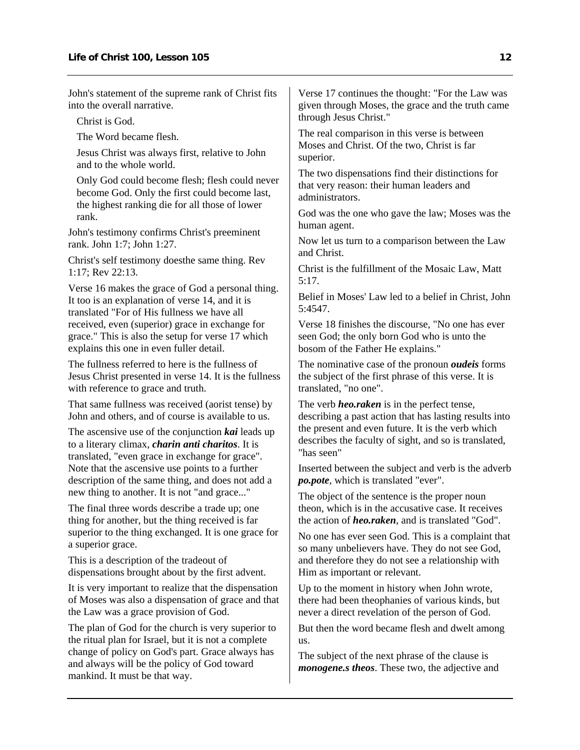John's statement of the supreme rank of Christ fits into the overall narrative.

Christ is God.

The Word became flesh.

Jesus Christ was always first, relative to John and to the whole world.

Only God could become flesh; flesh could never become God. Only the first could become last, the highest ranking die for all those of lower rank.

John's testimony confirms Christ's preeminent rank. John 1:7; John 1:27.

Christ's self testimony doesthe same thing. Rev 1:17; Rev 22:13.

Verse 16 makes the grace of God a personal thing. It too is an explanation of verse 14, and it is translated "For of His fullness we have all received, even (superior) grace in exchange for grace." This is also the setup for verse 17 which explains this one in even fuller detail.

The fullness referred to here is the fullness of Jesus Christ presented in verse 14. It is the fullness with reference to grace and truth.

That same fullness was received (aorist tense) by John and others, and of course is available to us.

The ascensive use of the conjunction *kai* leads up to a literary climax, *charin anti charitos*. It is translated, "even grace in exchange for grace". Note that the ascensive use points to a further description of the same thing, and does not add a new thing to another. It is not "and grace..."

The final three words describe a trade up; one thing for another, but the thing received is far superior to the thing exchanged. It is one grace for a superior grace.

This is a description of the tradeout of dispensations brought about by the first advent.

It is very important to realize that the dispensation of Moses was also a dispensation of grace and that the Law was a grace provision of God.

The plan of God for the church is very superior to the ritual plan for Israel, but it is not a complete change of policy on God's part. Grace always has and always will be the policy of God toward mankind. It must be that way.

Verse 17 continues the thought: "For the Law was given through Moses, the grace and the truth came through Jesus Christ."

The real comparison in this verse is between Moses and Christ. Of the two, Christ is far superior.

The two dispensations find their distinctions for that very reason: their human leaders and administrators.

God was the one who gave the law; Moses was the human agent.

Now let us turn to a comparison between the Law and Christ.

Christ is the fulfillment of the Mosaic Law, Matt 5:17.

Belief in Moses' Law led to a belief in Christ, John 5:4547.

Verse 18 finishes the discourse, "No one has ever seen God; the only born God who is unto the bosom of the Father He explains."

The nominative case of the pronoun *oudeis* forms the subject of the first phrase of this verse. It is translated, "no one".

The verb *heo.raken* is in the perfect tense, describing a past action that has lasting results into the present and even future. It is the verb which describes the faculty of sight, and so is translated, "has seen"

Inserted between the subject and verb is the adverb *po.pote*, which is translated "ever".

The object of the sentence is the proper noun theon, which is in the accusative case. It receives the action of *heo.raken*, and is translated "God".

No one has ever seen God. This is a complaint that so many unbelievers have. They do not see God, and therefore they do not see a relationship with Him as important or relevant.

Up to the moment in history when John wrote, there had been theophanies of various kinds, but never a direct revelation of the person of God.

But then the word became flesh and dwelt among us.

The subject of the next phrase of the clause is *monogene.s theos*. These two, the adjective and